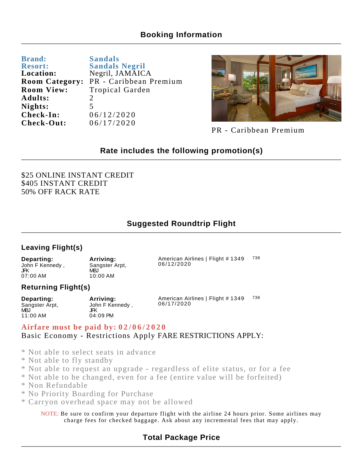## **Booking Information**

| <b>Brand:</b>         | <b>Sandals</b>         |
|-----------------------|------------------------|
| <b>Resort:</b>        | <b>Sandals Negril</b>  |
| Location:             | Negril, JAMAICA        |
| <b>Room Category:</b> | PR - Caribbean Premium |
| <b>Room View:</b>     | Tropical Garden        |
| Adults:               | $\mathcal{D}_{\cdot}$  |
| Nights:               | 5                      |
| Check-In:             | 06/12/2020             |
| Check-Out:            | 06/17/2020             |



PR - Caribbean Premium

738

## **Rate includes the following promotion(s)**

\$25 ONLINE INSTANT CREDIT \$405 INSTANT CREDIT 50% OFF RACK RATE

## **Suggested Roundtrip Flight**

#### **Leaving Flight(s)**

**Departing:** John F Kennedy , JFK 07:00 AM American Airlines | Flight # 1349 06/12/2020 **Arriving:** Sangster Arpt, MBJ 10:00 AM

#### **Returning Flight(s)**

| Departing:            | Arriving:             | American Airlines   Flight # 1349<br>06/17/2020 | 738 |
|-----------------------|-----------------------|-------------------------------------------------|-----|
| Sangster Arpt,<br>MB. | John F Kennedy<br>JFΚ |                                                 |     |
| 11:00 AM              | 04:09 PM              |                                                 |     |

### **Airfare must be paid by: 02/06/2020** Basic Economy - Restrictions Apply FARE RESTRICTIONS APPLY:

- \* Not able to select seats in advance
- \* Not able to fly standby
- \* Not able to request an upgrade regardless of elite status, or for a fee
- \* Not able to be changed, even for a fee (entire value will be forfeited)
- \* Non Refundable
- \* No Priority Boarding for Purchase
- \* Carryon overhead space may not be allowed

NOTE: Be sure to confirm your departure flight with the airline 24 hours prior. Some airlines may charge fees for checked baggage. Ask about any incremental fees that may apply.

## **Total Package Price**